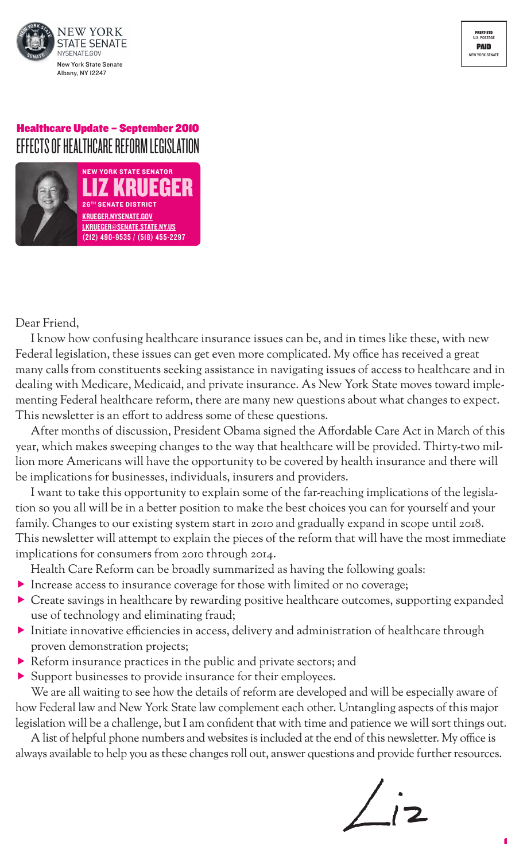

# Healthcare Update – September 2010 EFFECTS OF HEALTHCARE REFORM LEGISLATION



Dear Friend,

I know how confusing healthcare insurance issues can be, and in times like these, with new Federal legislation, these issues can get even more complicated. My office has received a great many calls from constituents seeking assistance in navigating issues of access to healthcare and in dealing with Medicare, Medicaid, and private insurance. As New York State moves toward implementing Federal healthcare reform, there are many new questions about what changes to expect. This newsletter is an effort to address some of these questions.

After months of discussion, President Obama signed the Affordable Care Act in March of this year, which makes sweeping changes to the way that healthcare will be provided. Thirty-two million more Americans will have the opportunity to be covered by health insurance and there will be implications for businesses, individuals, insurers and providers.

I want to take this opportunity to explain some of the far-reaching implications of the legislation so you all will be in a better position to make the best choices you can for yourself and your family. Changes to our existing system start in 2010 and gradually expand in scope until 2018. This newsletter will attempt to explain the pieces of the reform that will have the most immediate implications for consumers from 2010 through 2014.

Health Care Reform can be broadly summarized as having the following goals:

- $\blacktriangleright$  Increase access to insurance coverage for those with limited or no coverage;
- $\blacktriangleright$  Create savings in healthcare by rewarding positive healthcare outcomes, supporting expanded use of technology and eliminating fraud;
- $\blacktriangleright$  Initiate innovative efficiencies in access, delivery and administration of healthcare through proven demonstration projects;
- $\blacktriangleright$  Reform insurance practices in the public and private sectors; and
- $\blacktriangleright$  Support businesses to provide insurance for their employees.

We are all waiting to see how the details of reform are developed and will be especially aware of how Federal law and New York State law complement each other. Untangling aspects of this major legislation will be a challenge, but I am confident that with time and patience we will sort things out.

A list of helpful phone numbers and websites is included at the end of this newsletter. My office is always available to help you as these changes roll out, answer questions and provide further resources.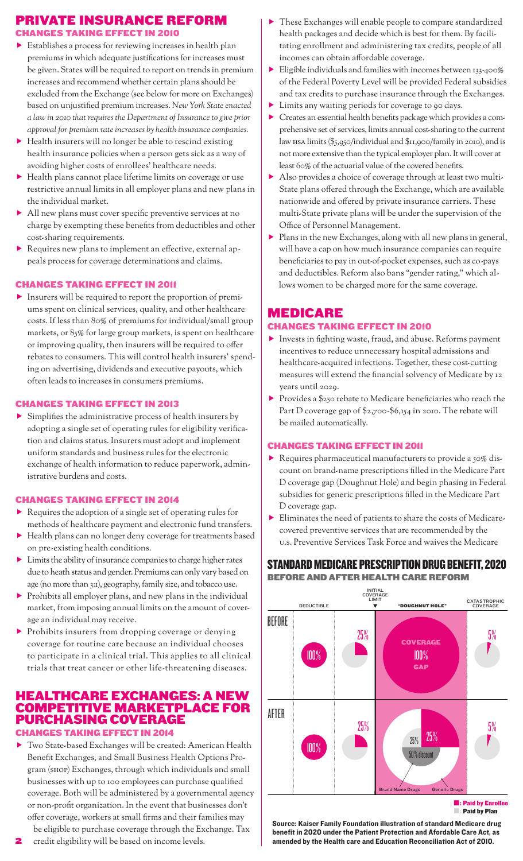# Private Insurance Reform

Changes taking effect in 2010

- $\blacktriangleright$  Establishes a process for reviewing increases in health plan premiums in which adequate justifications for increases must be given. States will be required to report on trendsin premium increases and recommend whether certain plans should be excluded from the Exchange (see below for more on Exchanges) based on unjustified premium increases. *New York State enacted a law in 2010 that requires the Department of Insurance to give prior approval for premium rate increases by health insurance companies.*
- $\blacktriangleright$  Health insurers will no longer be able to rescind existing health insurance policies when a person gets sick as a way of avoiding higher costs of enrollees' healthcare needs.
- $\blacktriangleright$  Health plans cannot place lifetime limits on coverage or use restrictive annual limits in all employer plans and new plans in the individual market.
- $\blacktriangleright$  All new plans must cover specific preventive services at no charge by exempting these benefits from deductibles and other cost-sharing requirements.
- **F** Requires new plans to implement an effective, external appeals process for coverage determinations and claims.

### Changes taking effect in 2011

 $\blacktriangleright$  Insurers will be required to report the proportion of premiums spent on clinical services, quality, and other healthcare costs. If less than 80% of premiums for individual/small group markets, or 85% for large group markets, is spent on healthcare or improving quality, then insurers will be required to offer rebates to consumers. This will control health insurers' spending on advertising, dividends and executive payouts, which often leads to increases in consumers premiums.

#### Changes taking effect in 2013

 $\blacktriangleright$  Simplifies the administrative process of health insurers by adopting a single set of operating rules for eligibility verification and claims status. Insurers must adopt and implement uniform standards and business rules for the electronic exchange of health information to reduce paperwork, administrative burdens and costs.

#### Changes taking effect in 2014

- $\blacktriangleright$  Requires the adoption of a single set of operating rules for methods of healthcare payment and electronic fund transfers.
- Health plans can no longer deny coverage for treatments based on pre-existing health conditions.
- $\blacktriangleright$  Limits the ability of insurance companies to charge higher rates due to heath status and gender. Premiums can only vary based on age (no more than 3:1), geography, family size, and tobacco use.
- $\blacktriangleright$  Prohibits all employer plans, and new plans in the individual market, from imposing annual limits on the amount of coverage an individual may receive.
- $\blacktriangleright$  Prohibits insurers from dropping coverage or denying coverage for routine care because an individual chooses to participate in a clinical trial. This applies to all clinical trials that treat cancer or other life-threatening diseases.

# Healthcare Exchanges: A New Competitive Marketplace for Purchasing Coverage

Changes taking effect in 2014

- $\blacktriangleright$  Two State-based Exchanges will be created: American Health Benefit Exchanges, and Small Business Health Options Program (SHOP) Exchanges, through which individuals and small businesses with up to 100 employees can purchase qualified coverage. Both will be administered by a governmental agency or non-profit organization. In the event that businesses don't offer coverage, workers at small firms and their families may be eligible to purchase coverage through the Exchange. Tax
- credit eligibility will be based on income levels. 2
- f These Exchanges will enable people to compare standardized health packages and decide which is best for them. By facilitating enrollment and administering tax credits, people of all incomes can obtain affordable coverage.
- $\blacktriangleright$  Eligible individuals and families with incomes between 133-400% of the Federal Poverty Level will be provided Federal subsidies and tax credits to purchase insurance through the Exchanges.
- $\blacktriangleright$  Limits any waiting periods for coverage to 90 days.
- f Creates an essential health benefits package which provides a comprehensive set of services, limits annual cost-sharing to the current law HSA limits(\$5,950/individual and \$11,900/family in 2010), and is not more extensive than the typical employer plan.It will cover at least 60% of the actuarial value of the covered benefits.
- $\blacktriangleright$  Also provides a choice of coverage through at least two multi-State plans offered through the Exchange, which are available nationwide and offered by private insurance carriers. These multi-State private plans will be under the supervision of the Office of Personnel Management.
- $\blacktriangleright$  Plans in the new Exchanges, along with all new plans in general, will have a cap on how much insurance companies can require beneficiaries to pay in out-of-pocket expenses, such as co-pays and deductibles. Reform also bans "gender rating," which allows women to be charged more for the same coverage.

# **MEDICARE**

### Changes taking effect in 2010

- $\blacktriangleright$  Invests in fighting waste, fraud, and abuse. Reforms payment incentives to reduce unnecessary hospital admissions and healthcare-acquired infections. Together, these cost-cutting measures will extend the financial solvency of Medicare by 12 years until 2029.
- $\blacktriangleright$  Provides a \$250 rebate to Medicare beneficiaries who reach the Part D coverage gap of \$2,700-\$6,154 in 2010. The rebate will be mailed automatically.

### Changes taking effect in 2011

- $\blacktriangleright$  Requires pharmaceutical manufacturers to provide a 50% discount on brand-name prescriptions filled in the Medicare Part D coverage gap (Doughnut Hole) and begin phasing in Federal subsidies for generic prescriptions filled in the Medicare Part D coverage gap.
- $\blacktriangleright$  Eliminates the need of patients to share the costs of Medicarecovered preventive services that are recommended by the U.S. Preventive Services Task Force and waives the Medicare

### Standard Medicare Prescription Drug Benefit, 2020 Before and After Health Care Reform



Source: Kaiser Family Foundation illustration of standard Medicare drug benefit in 2020 under the Patient Protection and Afordable Care Act, as amended by the Health care and Education Reconciliation Act of 2010.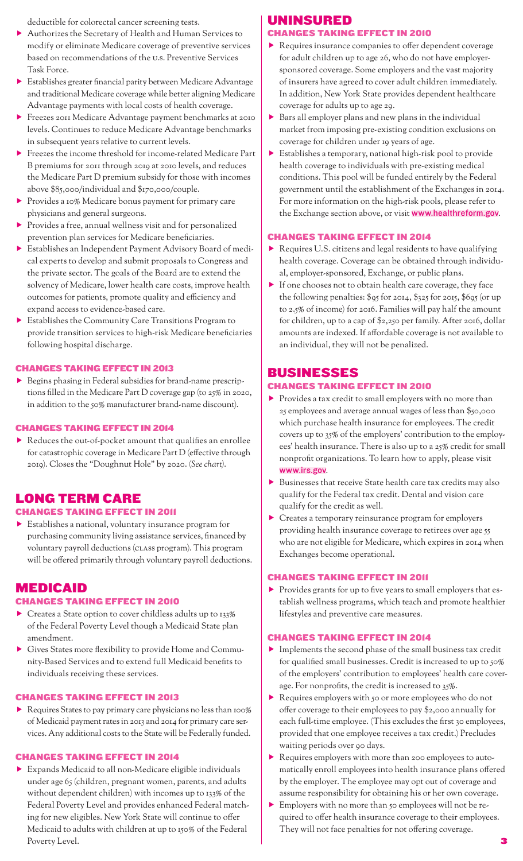deductible for colorectal cancer screening tests.

- f Authorizes the Secretary of Health and Human Services to modify or eliminate Medicare coverage of preventive services based on recommendations of the U.S. Preventive Services Task Force.
- **F** Establishes greater financial parity between Medicare Advantage and traditional Medicare coverage while better aligning Medicare Advantage payments with local costs of health coverage.
- Freezes 2011 Medicare Advantage payment benchmarks at 2010 levels. Continues to reduce Medicare Advantage benchmarks in subsequent years relative to current levels.
- $\blacktriangleright$  Freezes the income threshold for income-related Medicare Part B premiums for 2011 through 2019 at 2010 levels, and reduces the Medicare Part D premium subsidy for those with incomes above \$85,000/individual and \$170,000/couple.
- **F** Provides a 10% Medicare bonus payment for primary care physicians and general surgeons.
- $\blacktriangleright$  Provides a free, annual wellness visit and for personalized prevention plan services for Medicare beneficiaries.
- **Figure 1** Establishes an Independent Payment Advisory Board of medical experts to develop and submit proposals to Congress and the private sector. The goals of the Board are to extend the solvency of Medicare, lower health care costs, improve health outcomes for patients, promote quality and efficiency and expand access to evidence-based care.
- **Figure 1** Establishes the Community Care Transitions Program to provide transition services to high-risk Medicare beneficiaries following hospital discharge.

### Changes taking effect in 2013

 $\blacktriangleright$  Begins phasing in Federal subsidies for brand-name prescriptions filled in the Medicare Part D coverage gap (to 25% in 2020, in addition to the 50% manufacturer brand-name discount).

#### Changes taking effect in 2014

 $\blacktriangleright$  Reduces the out-of-pocket amount that qualifies an enrollee for catastrophic coverage in Medicare Part D (effective through 2019). Closes the "Doughnut Hole" by 2020. (*See chart)*.

# Long Term Care

### Changes taking effect in 2011

 $\blacktriangleright$  Establishes a national, voluntary insurance program for purchasing community living assistance services, financed by voluntary payroll deductions(CLASS program). This program will be offered primarily through voluntary payroll deductions.

### **MEDICAID**

#### Changes taking effect in 2010

- $\blacktriangleright$  Creates a State option to cover childless adults up to 133% of the Federal Poverty Level though a Medicaid State plan amendment.
- f Gives States more flexibility to provide Home and Community-Based Services and to extend full Medicaid benefits to individuals receiving these services.

#### Changes taking effect in 2013

 $\blacktriangleright$  Requires States to pay primary care physicians no less than 100% of Medicaid payment rates in 2013 and 2014 for primary care services. Any additional costs to the State will be Federally funded.

#### Changes taking effect in 2014

 $\blacktriangleright$  Expands Medicaid to all non-Medicare eligible individuals under age 65 (children, pregnant women, parents, and adults without dependent children) with incomes up to 133% of the Federal Poverty Level and provides enhanced Federal matching for new eligibles. New York State will continue to offer Medicaid to adults with children at up to 150% of the Federal Poverty Level.

# Uninsured

### Changes taking effect in 2010

- $\blacktriangleright$  Requires insurance companies to offer dependent coverage for adult children up to age 26, who do not have employersponsored coverage. Some employers and the vast majority of insurers have agreed to cover adult children immediately. In addition, New York State provides dependent healthcare coverage for adults up to age 29.
- $\blacktriangleright$  Bars all employer plans and new plans in the individual market from imposing pre-existing condition exclusions on coverage for children under 19 years of age.
- $\blacktriangleright$  Establishes a temporary, national high-risk pool to provide health coverage to individuals with pre-existing medical conditions. This pool will be funded entirely by the Federal government until the establishment of the Exchanges in 2014. For more information on the high-risk pools, please refer to the Exchange section above, or visit www.healthreform.gov.

#### Changes taking effect in 2014

- $\blacktriangleright$  Requires U.S. citizens and legal residents to have qualifying health coverage. Coverage can be obtained through individual, employer-sponsored, Exchange, or public plans.
- $\blacktriangleright$  If one chooses not to obtain health care coverage, they face the following penalties: \$95 for 2014, \$325 for 2015, \$695 (or up to 2.5% of income) for 2016. Families will pay half the amount for children, up to a cap of \$2,250 per family. After 2016, dollar amounts are indexed. If affordable coverage is not available to an individual, they will not be penalized.

## **BUSINESSES**

### Changes taking effect in 2010

- $\blacktriangleright$  Provides a tax credit to small employers with no more than 25 employees and average annual wages of less than \$50,000 which purchase health insurance for employees. The credit covers up to 35% of the employers' contribution to the employees' health insurance. There is also up to a 25% credit for small nonprofit organizations. To learn how to apply, please visit www.irs.gov.
- $\blacktriangleright$  Businesses that receive State health care tax credits may also qualify for the Federal tax credit. Dental and vision care qualify for the credit as well.
- $\blacktriangleright$  Creates a temporary reinsurance program for employers providing health insurance coverage to retirees over age 55 who are not eligible for Medicare, which expires in 2014 when Exchanges become operational.

#### Changes taking effect in 2011

**F** Provides grants for up to five years to small employers that establish wellness programs, which teach and promote healthier lifestyles and preventive care measures.

#### Changes taking effect in 2014

- $\blacktriangleright$  Implements the second phase of the small business tax credit for qualified small businesses. Credit is increased to up to 50% of the employers' contribution to employees' health care coverage. For nonprofits, the credit is increased to 35%.
- $\blacktriangleright$  Requires employers with 50 or more employees who do not offer coverage to their employees to pay \$2,000 annually for each full-time employee. (This excludes the first 30 employees, provided that one employee receives a tax credit.) Precludes waiting periods over 90 days.
- Requires employers with more than 200 employees to automatically enroll employees into health insurance plans offered by the employer. The employee may opt out of coverage and assume responsibility for obtaining his or her own coverage.
- f Employers with no more than 50 employees will not be required to offer health insurance coverage to their employees. They will not face penalties for not offering coverage.